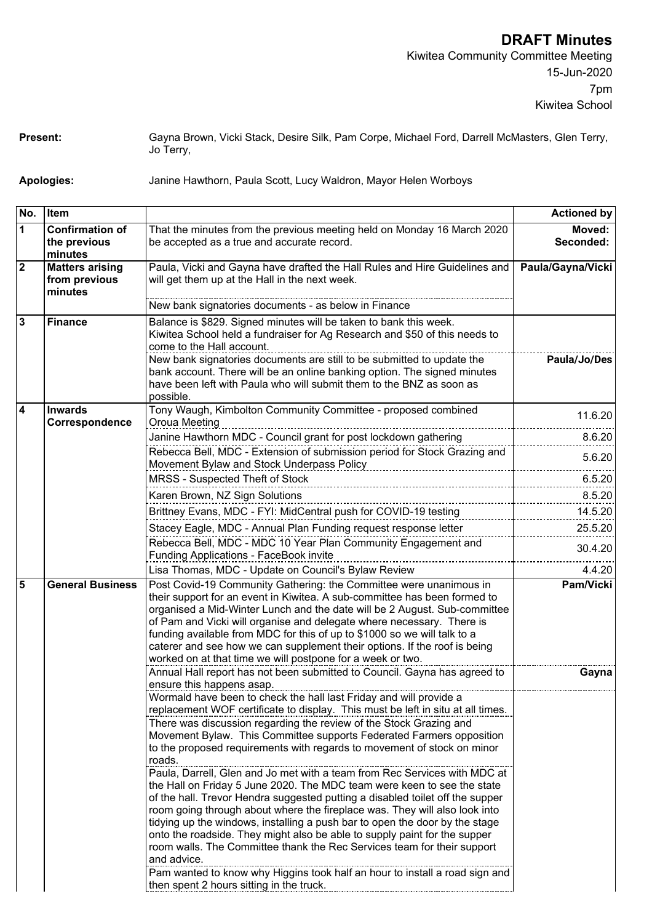**Present:** Gayna Brown, Vicki Stack, Desire Silk, Pam Corpe, Michael Ford, Darrell McMasters, Glen Terry, Jo Terry,

**Apologies:** Janine Hawthorn, Paula Scott, Lucy Waldron, Mayor Helen Worboys

| No.                     | Item                                               |                                                                                                                                                                                                                                                                                                                                                                                                                                                                                                                                                                                                                                                                                                                                                                                                                                                                                                                                                                                                                                                                                                  | <b>Actioned by</b>  |
|-------------------------|----------------------------------------------------|--------------------------------------------------------------------------------------------------------------------------------------------------------------------------------------------------------------------------------------------------------------------------------------------------------------------------------------------------------------------------------------------------------------------------------------------------------------------------------------------------------------------------------------------------------------------------------------------------------------------------------------------------------------------------------------------------------------------------------------------------------------------------------------------------------------------------------------------------------------------------------------------------------------------------------------------------------------------------------------------------------------------------------------------------------------------------------------------------|---------------------|
| 1                       | <b>Confirmation of</b><br>the previous<br>minutes  | That the minutes from the previous meeting held on Monday 16 March 2020<br>be accepted as a true and accurate record.                                                                                                                                                                                                                                                                                                                                                                                                                                                                                                                                                                                                                                                                                                                                                                                                                                                                                                                                                                            | Moved:<br>Seconded: |
| $\overline{\mathbf{2}}$ | <b>Matters arising</b><br>from previous<br>minutes | Paula, Vicki and Gayna have drafted the Hall Rules and Hire Guidelines and<br>will get them up at the Hall in the next week.                                                                                                                                                                                                                                                                                                                                                                                                                                                                                                                                                                                                                                                                                                                                                                                                                                                                                                                                                                     | Paula/Gayna/Vicki   |
|                         |                                                    | New bank signatories documents - as below in Finance                                                                                                                                                                                                                                                                                                                                                                                                                                                                                                                                                                                                                                                                                                                                                                                                                                                                                                                                                                                                                                             |                     |
| $\mathbf{3}$            | <b>Finance</b>                                     | Balance is \$829. Signed minutes will be taken to bank this week.<br>Kiwitea School held a fundraiser for Ag Research and \$50 of this needs to<br>come to the Hall account.<br>New bank signatories documents are still to be submitted to update the                                                                                                                                                                                                                                                                                                                                                                                                                                                                                                                                                                                                                                                                                                                                                                                                                                           | Paula/Jo/Des        |
|                         |                                                    | bank account. There will be an online banking option. The signed minutes<br>have been left with Paula who will submit them to the BNZ as soon as<br>possible.                                                                                                                                                                                                                                                                                                                                                                                                                                                                                                                                                                                                                                                                                                                                                                                                                                                                                                                                    |                     |
| 4                       | <b>Inwards</b><br>Correspondence                   | Tony Waugh, Kimbolton Community Committee - proposed combined<br>Oroua Meeting                                                                                                                                                                                                                                                                                                                                                                                                                                                                                                                                                                                                                                                                                                                                                                                                                                                                                                                                                                                                                   | 11.6.20             |
|                         |                                                    | Janine Hawthorn MDC - Council grant for post lockdown gathering                                                                                                                                                                                                                                                                                                                                                                                                                                                                                                                                                                                                                                                                                                                                                                                                                                                                                                                                                                                                                                  | 8.6.20              |
|                         |                                                    | Rebecca Bell, MDC - Extension of submission period for Stock Grazing and<br>Movement Bylaw and Stock Underpass Policy                                                                                                                                                                                                                                                                                                                                                                                                                                                                                                                                                                                                                                                                                                                                                                                                                                                                                                                                                                            | 5.6.20              |
|                         |                                                    | MRSS - Suspected Theft of Stock                                                                                                                                                                                                                                                                                                                                                                                                                                                                                                                                                                                                                                                                                                                                                                                                                                                                                                                                                                                                                                                                  | 6.5.20              |
|                         |                                                    | Karen Brown, NZ Sign Solutions                                                                                                                                                                                                                                                                                                                                                                                                                                                                                                                                                                                                                                                                                                                                                                                                                                                                                                                                                                                                                                                                   | 8.5.20              |
|                         |                                                    | Brittney Evans, MDC - FYI: MidCentral push for COVID-19 testing                                                                                                                                                                                                                                                                                                                                                                                                                                                                                                                                                                                                                                                                                                                                                                                                                                                                                                                                                                                                                                  | 14.5.20             |
|                         |                                                    | Stacey Eagle, MDC - Annual Plan Funding request response letter                                                                                                                                                                                                                                                                                                                                                                                                                                                                                                                                                                                                                                                                                                                                                                                                                                                                                                                                                                                                                                  | 25.5.20             |
|                         |                                                    | Rebecca Bell, MDC - MDC 10 Year Plan Community Engagement and<br>Funding Applications - FaceBook invite                                                                                                                                                                                                                                                                                                                                                                                                                                                                                                                                                                                                                                                                                                                                                                                                                                                                                                                                                                                          | 30.4.20             |
|                         |                                                    | Lisa Thomas, MDC - Update on Council's Bylaw Review                                                                                                                                                                                                                                                                                                                                                                                                                                                                                                                                                                                                                                                                                                                                                                                                                                                                                                                                                                                                                                              | 4.4.20              |
| 5                       | <b>General Business</b>                            | Post Covid-19 Community Gathering: the Committee were unanimous in<br>their support for an event in Kiwitea. A sub-committee has been formed to<br>organised a Mid-Winter Lunch and the date will be 2 August. Sub-committee<br>of Pam and Vicki will organise and delegate where necessary. There is<br>funding available from MDC for this of up to \$1000 so we will talk to a<br>caterer and see how we can supplement their options. If the roof is being<br>worked on at that time we will postpone for a week or two.                                                                                                                                                                                                                                                                                                                                                                                                                                                                                                                                                                     | Pam/Vicki           |
|                         |                                                    | Annual Hall report has not been submitted to Council. Gayna has agreed to<br>ensure this happens asap.                                                                                                                                                                                                                                                                                                                                                                                                                                                                                                                                                                                                                                                                                                                                                                                                                                                                                                                                                                                           | Gayna               |
|                         |                                                    | Wormald have been to check the hall last Friday and will provide a<br>replacement WOF certificate to display. This must be left in situ at all times.<br>There was discussion regarding the review of the Stock Grazing and<br>Movement Bylaw. This Committee supports Federated Farmers opposition<br>to the proposed requirements with regards to movement of stock on minor<br>roads.<br>Paula, Darrell, Glen and Jo met with a team from Rec Services with MDC at<br>the Hall on Friday 5 June 2020. The MDC team were keen to see the state<br>of the hall. Trevor Hendra suggested putting a disabled toilet off the supper<br>room going through about where the fireplace was. They will also look into<br>tidying up the windows, installing a push bar to open the door by the stage<br>onto the roadside. They might also be able to supply paint for the supper<br>room walls. The Committee thank the Rec Services team for their support<br>and advice.<br>Pam wanted to know why Higgins took half an hour to install a road sign and<br>then spent 2 hours sitting in the truck. |                     |